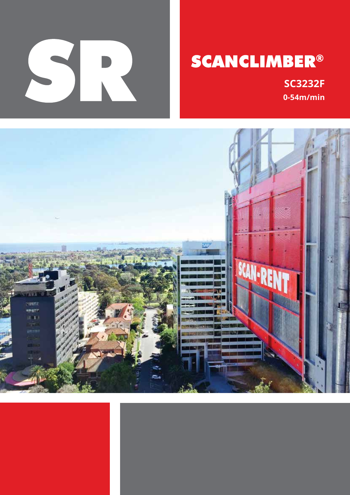

# **SCANCLIMBER®**

**SC3232F**  $0-54m/min$ 

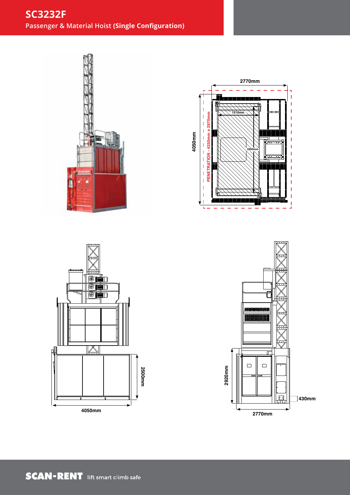# **SC3232F Passenger & Material Hoist (Single Configuration)**









SRA-SC3232/1 Elevations SC3232 Single Configuration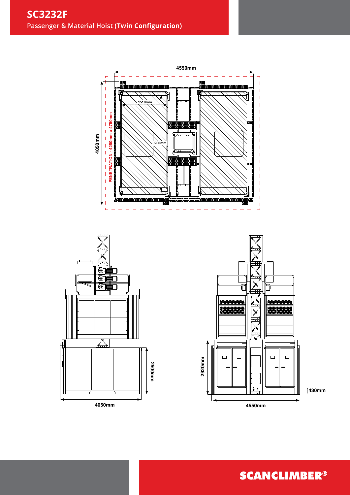





**SCANCLIMBER®**